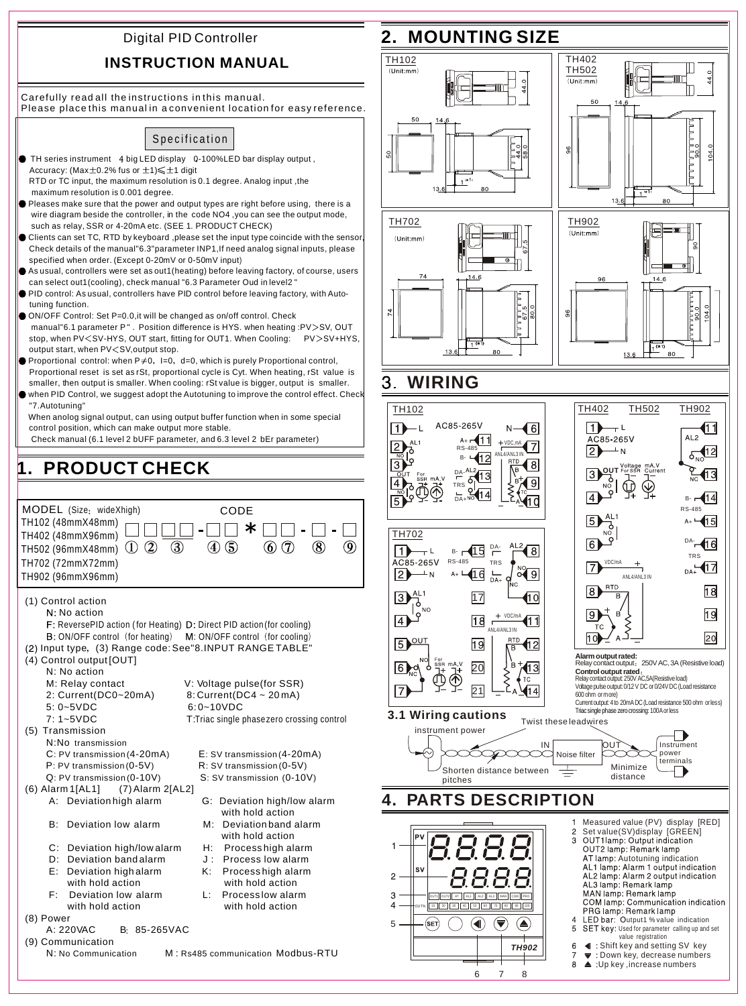# Digital PID Controller

## **INSTRUCTION MANUAL**

Carefully read all the instructions in this manual. Please place this manual in a convenient location for easy reference.

# Specification

- TH series instrument 4 big LED display 0-100%LED bar display output, Accuracy: (Max $\pm$ 0.2% fus or  $\pm$ 1) $\leqslant \pm$ 1 digit RTD or TC input, the maximum resolution is 0.1 degree. Analog input ,the maximum resolution is 0.001 degree.
- Pleases make sure that the power and output types are right before using, there is a wire diagram beside the controller, in the code NO4, you can see the output mode, such as relay, SSR or 4-20mA etc. (SEE 1. PRODUCT CHECK)
- Clients can set TC, RTD by keyboard ,please set the input type coincide with the sensor, Check details of the manual"6.3"parameter INP1,If need analog signal inputs, please specified when order. (Except 0-20mV or 0-50mV input)
- As usual, controllers were set as out1(heating) before leaving factory, of course, users can select out1(cooling), check manual "6.3 Parameter Oud in level2 "
- PID control: As usual, controllers have PID control before leaving factory, with Auto tuning function.
- ON/OFF Control: Set P=0.0, it will be changed as on/off control. Check manual"6.1 parameter P". Position difference is HYS. when heating :PV>SV, OUT stop, when PV<SV-HYS, OUT start, fitting for OUT1. When Cooling: PV>SV+HYS, output start, when PV < SV, output stop.
- Proportional control: when P $\neq$ 0, l=0, d=0, which is purely Proportional control, Proportional reset is set as rSt, proportional cycle is Cyt. When heating, rSt value is smaller, then output is smaller. When cooling: rSt value is bigger, output is smaller.
- when PID Control, we suggest adopt the Autotuning to improve the control effect. Check "7.Autotuning"

 When anolog signal output, can using output buffer function when in some special control position, which can make output more stable.

Check manual (6.1 level 2 bUFF parameter, and 6.3 level 2 bEr parameter)

### **1. PRODUCT CHECK** MODEL (Size: wideXhigh) CODE TH102 (48mmX48mm) TH402 (48mmX96mm)  $\neg\Box\neg\neg\Box\neg\ast\Box$ TH502 (96mmX48mm)  $\overline{1}$   $\overline{2}$  =  $\left(\overline{4}\right)\left(\overline{5}\right)$  $\overline{(\overline{3})}$  $\circledcirc$  $\mathcal{R}$  $\Omega$ TH702 (72mmX72mm) TH902 (96mmX96mm) (1) Control action N: No action F: ReversePID action (for Heating) D: Direct PID action (for cooling) B: ON/OFF control (for heating) M: ON/OFF control (for cooling) (2) Input type, (3) Range code: See"8.INPUT RANGE TABLE" (4) Control output [OUT] N: No action M: Relay contact V: Voltage pulse(for SSR)<br>2: Current(DC0~20mA) 8: Current(DC4 ~ 20mA) 2: Current(DC0~20mA) 5: 0~5VDC 6: 0~10VDC<br>7: 1~5VDC T: Triac single i T: Triac single phase zero crossing control (5) Transmission N:No transmission C: PV transmission (4-20mA) E: SV transmission (4-20mA)<br>P: PV transmission (0-5V) R: SV transmission (0-5V) P: PV transmission  $(0-5V)$ <br>Q: PV transmission  $(0-10V)$ S: SV transmission (0-10V) (6) Alarm 1[AL1] (7) Alarm 2[AL2] A: Deviation high alarm G: Deviation high/low alarm with hold action B: Deviation low alarm M: Deviation band alarm with hold action C: Deviation high/low alarm H: Process high alarm<br>D: Deviation band alarm J: Process low alarm  $D:$  Deviation band alarm  $J:$  E: Deviation high alarm K: Process high alarm with hold action with hold action<br>Deviation low alarm L: Process low alarm F: Deviation low alarm L: Process low alarm<br>with hold action with hold action with hold action

(8) Power **B: 85-265VAC** (9) Communication

## N: No Communication M : Rs485 communication Modbus-RTU

# **2. MOUNTING SIZE**